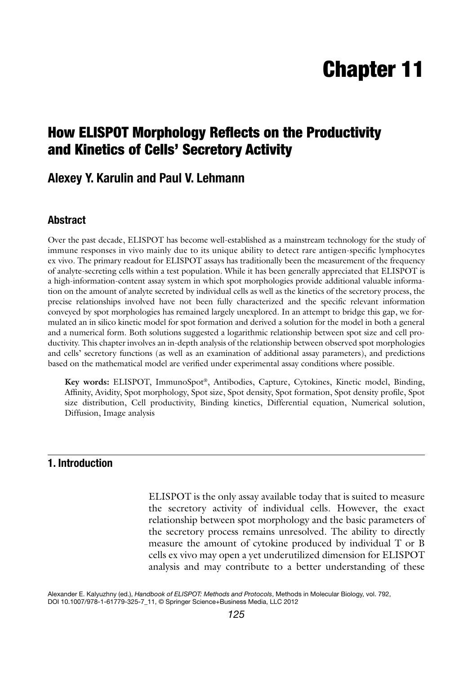# **Chapter 11**

# **How ELISPOT Morphology Reflects on the Productivity and Kinetics of Cells' Secretory Activity**

# **Alexey Y. Karulin and Paul V. Lehmann**

### **Abstract**

Over the past decade, ELISPOT has become well-established as a mainstream technology for the study of immune responses in vivo mainly due to its unique ability to detect rare antigen-specific lymphocytes ex vivo. The primary readout for ELISPOT assays has traditionally been the measurement of the frequency of analyte-secreting cells within a test population. While it has been generally appreciated that ELISPOT is a high-information-content assay system in which spot morphologies provide additional valuable information on the amount of analyte secreted by individual cells as well as the kinetics of the secretory process, the precise relationships involved have not been fully characterized and the specific relevant information conveyed by spot morphologies has remained largely unexplored. In an attempt to bridge this gap, we formulated an in silico kinetic model for spot formation and derived a solution for the model in both a general and a numerical form. Both solutions suggested a logarithmic relationship between spot size and cell productivity. This chapter involves an in-depth analysis of the relationship between observed spot morphologies and cells' secretory functions (as well as an examination of additional assay parameters), and predictions based on the mathematical model are verified under experimental assay conditions where possible.

**Key words:** ELISPOT, ImmunoSpot®, Antibodies, Capture, Cytokines, Kinetic model, Binding, Affinity, Avidity, Spot morphology, Spot size, Spot density, Spot formation, Spot density profile, Spot size distribution, Cell productivity, Binding kinetics, Differential equation, Numerical solution, Diffusion, Image analysis

# **1. Introduction**

ELISPOT is the only assay available today that is suited to measure the secretory activity of individual cells. However, the exact relationship between spot morphology and the basic parameters of the secretory process remains unresolved. The ability to directly measure the amount of cytokine produced by individual T or B cells ex vivo may open a yet underutilized dimension for ELISPOT analysis and may contribute to a better understanding of these

Alexander E. Kalyuzhny (ed.), *Handbook of ELISPOT: Methods and Protocols*, Methods in Molecular Biology, vol. 792, DOI 10.1007/978-1-61779-325-7\_11, © Springer Science+Business Media, LLC 2012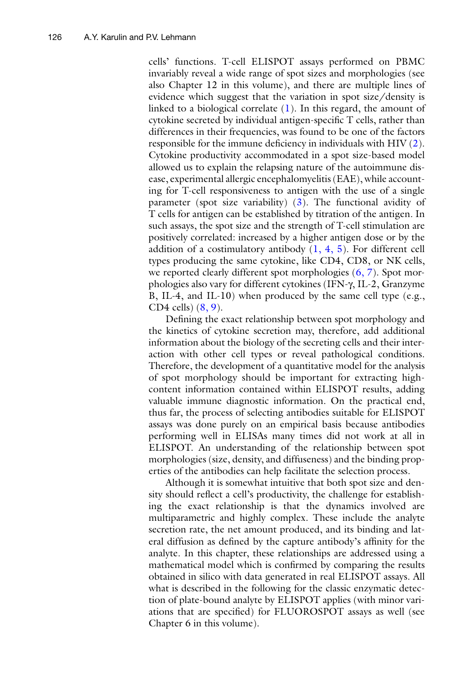cells' functions. T-cell ELISPOT assays performed on PBMC invariably reveal a wide range of spot sizes and morphologies (see also Chapter 12 in this volume), and there are multiple lines of evidence which suggest that the variation in spot size/density is linked to a biological correlate  $(1)$ . In this regard, the amount of cytokine secreted by individual antigen-specific T cells, rather than differences in their frequencies, was found to be one of the factors responsible for the immune deficiency in individuals with HIV ([2\)](#page-17-0). Cytokine productivity accommodated in a spot size-based model allowed us to explain the relapsing nature of the autoimmune disease, experimental allergic encephalomyelitis (EAE), while accounting for T-cell responsiveness to antigen with the use of a single parameter (spot size variability) ([3\)](#page-17-0). The functional avidity of T cells for antigen can be established by titration of the antigen. In such assays, the spot size and the strength of T-cell stimulation are positively correlated: increased by a higher antigen dose or by the addition of a costimulatory antibody  $(1, 4, 5)$ . For different cell types producing the same cytokine, like CD4, CD8, or NK cells, we reported clearly different spot morphologies ([6, 7\)](#page-18-0). Spot morphologies also vary for different cytokines (IFN- $\gamma$ , IL-2, Granzyme B, IL-4, and IL-10) when produced by the same cell type (e.g., CD4 cells) ([8, 9](#page-18-0)).

Defining the exact relationship between spot morphology and the kinetics of cytokine secretion may, therefore, add additional information about the biology of the secreting cells and their interaction with other cell types or reveal pathological conditions. Therefore, the development of a quantitative model for the analysis of spot morphology should be important for extracting highcontent information contained within ELISPOT results, adding valuable immune diagnostic information. On the practical end, thus far, the process of selecting antibodies suitable for ELISPOT assays was done purely on an empirical basis because antibodies performing well in ELISAs many times did not work at all in ELISPOT. An understanding of the relationship between spot morphologies (size, density, and diffuseness) and the binding properties of the antibodies can help facilitate the selection process.

Although it is somewhat intuitive that both spot size and density should reflect a cell's productivity, the challenge for establishing the exact relationship is that the dynamics involved are multiparametric and highly complex. These include the analyte secretion rate, the net amount produced, and its binding and lateral diffusion as defined by the capture antibody's affinity for the analyte. In this chapter, these relationships are addressed using a mathematical model which is confirmed by comparing the results obtained in silico with data generated in real ELISPOT assays. All what is described in the following for the classic enzymatic detection of plate-bound analyte by ELISPOT applies (with minor variations that are specified) for FLUOROSPOT assays as well (see Chapter 6 in this volume).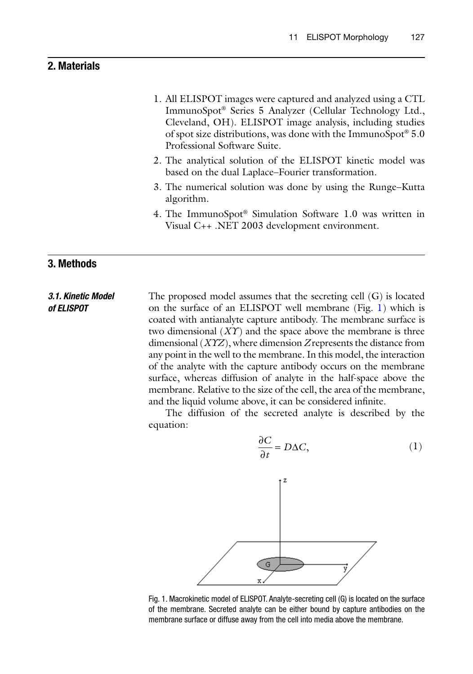# **2. Materials**

- 1. All ELISPOT images were captured and analyzed using a CTL ImmunoSpot® Series 5 Analyzer (Cellular Technology Ltd., Cleveland, OH). ELISPOT image analysis, including studies of spot size distributions, was done with the ImmunoSpot® 5.0 Professional Software Suite.
- 2. The analytical solution of the ELISPOT kinetic model was based on the dual Laplace–Fourier transformation.
- 3. The numerical solution was done by using the Runge–Kutta algorithm.
- 4. The ImmunoSpot® Simulation Software 1.0 was written in Visual C++ .NET 2003 development environment.

# **3. Methods**

#### The proposed model assumes that the secreting cell (G) is located on the surface of an ELISPOT well membrane (Fig*.* 1) which is coated with antianalyte capture antibody. The membrane surface is two dimensional  $(XY)$  and the space above the membrane is three dimensional (*XYZ* ), where dimension *Z* represents the distance from any point in the well to the membrane. In this model, the interaction of the analyte with the capture antibody occurs on the membrane surface, whereas diffusion of analyte in the half-space above the membrane. Relative to the size of the cell, the area of the membrane, and the liquid volume above, it can be considered infinite. *3.1. Kinetic Model of ELISPOT*

The diffusion of the secreted analyte is described by the equation:

$$
\frac{\partial C}{\partial t} = D\Delta C,\tag{1}
$$



Fig. 1. Macrokinetic model of ELISPOT. Analyte-secreting cell (G) is located on the surface of the membrane. Secreted analyte can be either bound by capture antibodies on the membrane surface or diffuse away from the cell into media above the membrane.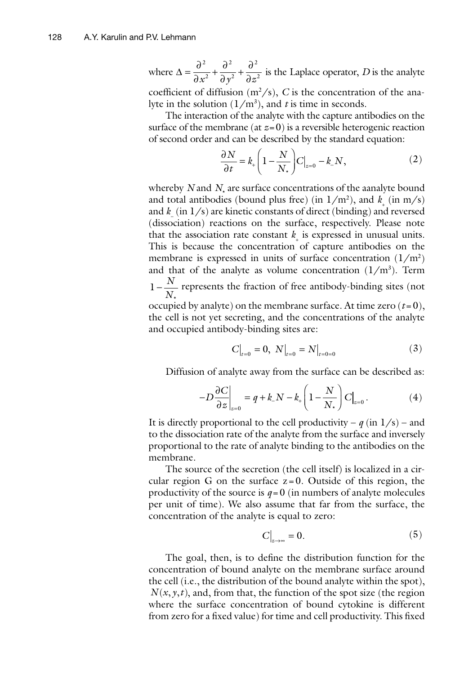where 2  $2^2$   $2^2$  $\Delta = \frac{\partial^2}{\partial x^2} + \frac{\partial^2}{\partial y^2} + \frac{\partial^2}{\partial z^2}$  is the Laplace operator, *D* is the analyte coefficient of diffusion  $(m^2/s)$ , *C* is the concentration of the analyte in the solution  $(1/m^3)$ , and *t* is time in seconds.

The interaction of the analyte with the capture antibodies on the surface of the membrane (at  $z=0$ ) is a reversible heterogenic reaction of second order and can be described by the standard equation:

$$
\frac{\partial N}{\partial t} = k_+ \left( 1 - \frac{N}{N_*} \right) C\big|_{z=0} - k_- N, \tag{2}
$$

whereby  $N$  and  $N_*$  are surface concentrations of the aanalyte bound and total antibodies (bound plus free) (in  $1/m^2$ ), and  $k_{+}$  (in m/s) and *k*<sup>−</sup> (in 1/s) are kinetic constants of direct (binding) and reversed (dissociation) reactions on the surface, respectively. Please note that the association rate constant  $k_{+}$  is expressed in unusual units. This is because the concentration of capture antibodies on the membrane is expressed in units of surface concentration  $(1/m^2)$ and that of the analyte as volume concentration  $(1/m<sup>3</sup>)$ . Term  $1-\frac{N}{N}$  $-\frac{N}{N_*}$  represents the fraction of free antibody-binding sites (not

occupied by analyte) on the membrane surface. At time zero  $(t=0)$ , the cell is not yet secreting, and the concentrations of the analyte and occupied antibody-binding sites are:

$$
C\big|_{t=0} = 0, \ N\big|_{t=0} = N\big|_{t=0=0} \tag{3}
$$

Diffusion of analyte away from the surface can be described as:

$$
-D\frac{\partial C}{\partial z}\bigg|_{z=0} = q + k_N - k_+ \left(1 - \frac{N}{N_*}\right) C\big|_{z=0}.
$$
 (4)

It is directly proportional to the cell productivity –  $q$  (in  $1/s$ ) – and to the dissociation rate of the analyte from the surface and inversely proportional to the rate of analyte binding to the antibodies on the membrane.

The source of the secretion (the cell itself) is localized in a circular region G on the surface  $z=0$ . Outside of this region, the productivity of the source is  $q=0$  (in numbers of analyte molecules per unit of time). We also assume that far from the surface, the concentration of the analyte is equal to zero:

$$
C\big|_{z\to\infty} = 0.\tag{5}
$$

The goal, then, is to define the distribution function for the concentration of bound analyte on the membrane surface around the cell (i.e., the distribution of the bound analyte within the spot),  $N(x, y, t)$ , and, from that, the function of the spot size (the region where the surface concentration of bound cytokine is different from zero for a fixed value) for time and cell productivity. This fixed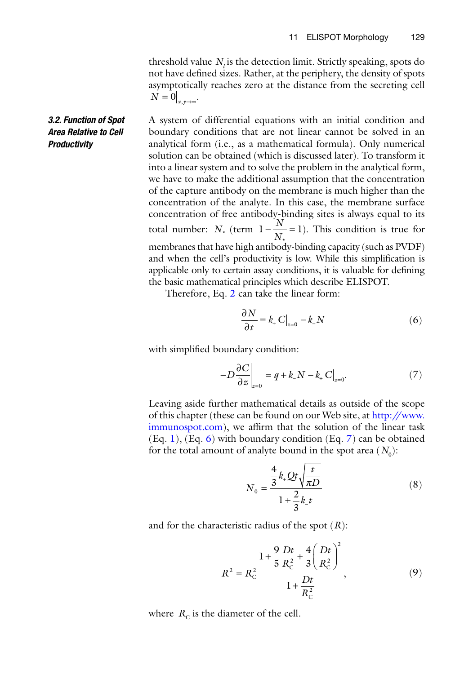threshold value  $N_i$  is the detection limit. Strictly speaking, spots do not have defined sizes. Rather, at the periphery, the density of spots asymptotically reaches zero at the distance from the secreting cell  $N = 0$   $\Big|_{x,y \to \infty}$ .

A system of differential equations with an initial condition and boundary conditions that are not linear cannot be solved in an analytical form (i.e., as a mathematical formula). Only numerical solution can be obtained (which is discussed later). To transform it into a linear system and to solve the problem in the analytical form, we have to make the additional assumption that the concentration of the capture antibody on the membrane is much higher than the concentration of the analyte. In this case, the membrane surface concentration of free antibody-binding sites is always equal to its total number:  $N_*$  (term  $1 - \frac{N}{N} = 1$ \* membranes that have high antibody-binding capacity (such as PVDF)  $-\frac{N}{N_*}$  = 1). This condition is true for and when the cell's productivity is low. While this simplification is applicable only to certain assay conditions, it is valuable for defining the basic mathematical principles which describe ELISPOT.

Therefore, Eq. 2 can take the linear form:

$$
\frac{\partial N}{\partial t} = k_{+} C \big|_{z=0} - k_{-} N \tag{6}
$$

with simplified boundary condition:

$$
-D\frac{\partial C}{\partial z}\bigg|_{z=0} = q + k_N - k_+ C\big|_{z=0}.\tag{7}
$$

Leaving aside further mathematical details as outside of the scope of this chapter (these can be found on our Web site, at http://www. immunospot.com), we affirm that the solution of the linear task  $(Eq. 1)$ ,  $(Eq. 6)$  with boundary condition  $(Eq. 7)$  can be obtained for the total amount of analyte bound in the spot area  $(N_0)$ :

$$
N_0 = \frac{\frac{4}{3}k_+ Q t \sqrt{\frac{t}{\pi D}}}{1 + \frac{2}{3}k_- t}
$$
 (8)

and for the characteristic radius of the spot (*R*):

$$
R^{2} = R_{\rm c}^{2} \frac{1 + \frac{9}{5} \frac{Dt}{R_{\rm c}^{2}} + \frac{4}{3} \left(\frac{Dt}{R_{\rm c}^{2}}\right)^{2}}{1 + \frac{Dt}{R_{\rm c}^{2}}},
$$
(9)

where  $R<sub>c</sub>$  is the diameter of the cell.

# *3.2. Function of Spot Area Relative to Cell Productivity*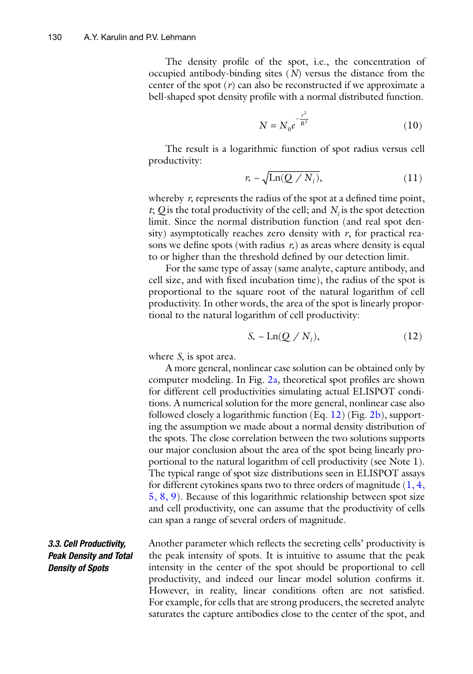The density profile of the spot, i.e., the concentration of occupied antibody-binding sites (*N*) versus the distance from the center of the spot (*r*) can also be reconstructed if we approximate a bell-shaped spot density profile with a normal distributed function.

$$
N = N_0 e^{-\frac{r^2}{R^2}}
$$
 (10)

The result is a logarithmic function of spot radius versus cell productivity:

$$
r_{\star} \sim \sqrt{\text{Ln}(Q / N_{l})},\tag{11}
$$

whereby  $r<sub>*</sub>$  represents the radius of the spot at a defined time point,  $t$ ;  $Q$  is the total productivity of the cell; and  $N$ <sub>*l*</sub> is the spot detection limit. Since the normal distribution function (and real spot density) asymptotically reaches zero density with *r*, for practical reasons we define spots (with radius  $r<sub>r</sub>$ ) as areas where density is equal to or higher than the threshold defined by our detection limit.

For the same type of assay (same analyte, capture antibody, and cell size, and with fixed incubation time), the radius of the spot is proportional to the square root of the natural logarithm of cell productivity. In other words, the area of the spot is linearly proportional to the natural logarithm of cell productivity:

$$
S_{\star} \sim \text{Ln}(Q / N_l), \tag{12}
$$

where *S*<sup>\*</sup> is spot area.

A more general, nonlinear case solution can be obtained only by computer modeling. In Fig. [2a](#page-6-0)*,* theoretical spot profiles are shown for different cell productivities simulating actual ELISPOT conditions. A numerical solution for the more general, nonlinear case also followed closely a logarithmic function  $(Eq. 12)$  (Fig. [2b](#page-6-0)), supporting the assumption we made about a normal density distribution of the spots. The close correlation between the two solutions supports our major conclusion about the area of the spot being linearly proportional to the natural logarithm of cell productivity (see Note 1). The typical range of spot size distributions seen in ELISPOT assays for different cytokines spans two to three orders of magnitude  $(1, 4, 4)$  $(1, 4, 4)$  $(1, 4, 4)$ [5,](#page-17-0) [8, 9](#page-18-0)). Because of this logarithmic relationship between spot size and cell productivity, one can assume that the productivity of cells can span a range of several orders of magnitude.

*3.3. Cell Productivity, Peak Density and Total Density of Spots*

Another parameter which reflects the secreting cells' productivity is the peak intensity of spots. It is intuitive to assume that the peak intensity in the center of the spot should be proportional to cell productivity, and indeed our linear model solution confirms it. However, in reality, linear conditions often are not satisfied. For example, for cells that are strong producers, the secreted analyte saturates the capture antibodies close to the center of the spot, and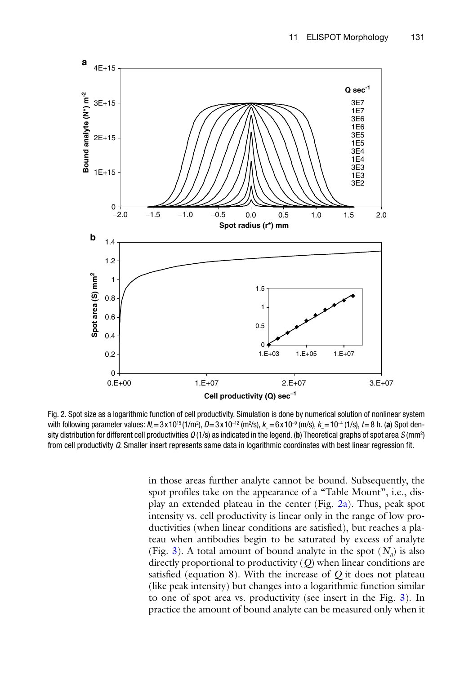<span id="page-6-0"></span>

Fig. 2. Spot size as a logarithmic function of cell productivity. Simulation is done by numerical solution of nonlinear system with following parameter values: N,=3x10<sup>15</sup>(1/m<sup>2</sup>), D=3x10<sup>-12</sup> (m<sup>2</sup>/s), K<sub>+</sub>=6x10<sup>-9</sup> (m/s), K\_=10<sup>-4</sup> (1/s), t=8 h. (**a**) Spot density distribution for different cell productivities  $Q$  (1/s) as indicated in the legend. (**b**) Theoretical graphs of spot area  $S$  (mm²) from cell productivity Q. Smaller insert represents same data in logarithmic coordinates with best linear regression fit.

in those areas further analyte cannot be bound. Subsequently, the spot profiles take on the appearance of a "Table Mount", i.e., display an extended plateau in the center (Fig. 2a). Thus, peak spot intensity vs. cell productivity is linear only in the range of low productivities (when linear conditions are satisfied), but reaches a plateau when antibodies begin to be saturated by excess of analyte (Fig. [3](#page-7-0)). A total amount of bound analyte in the spot  $(N_o)$  is also directly proportional to productivity (*Q*) when linear conditions are satisfied (equation 8). With the increase of  $Q$  it does not plateau (like peak intensity) but changes into a logarithmic function similar to one of spot area vs. productivity (see insert in the Fig. [3](#page-7-0)). In practice the amount of bound analyte can be measured only when it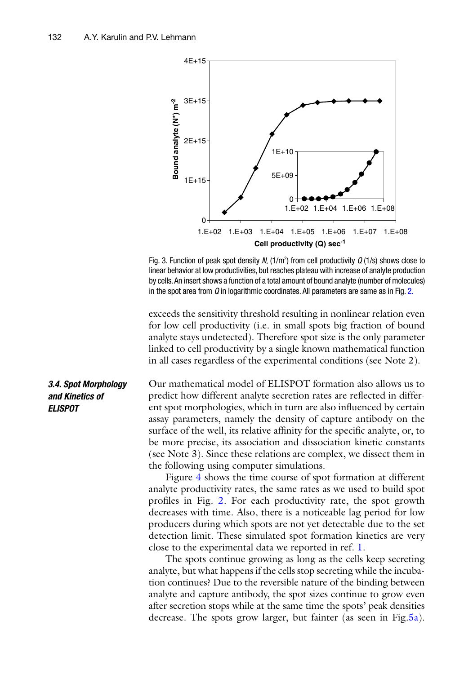<span id="page-7-0"></span>

Fig. 3. Function of peak spot density  $N_{\rm *}$  (1/m<sup>2</sup>) from cell productivity  $Q$  (1/s) shows close to linear behavior at low productivities, but reaches plateau with increase of analyte production by cells. An insert shows a function of a total amount of bound analyte (number of molecules) in the spot area from  $Q$  in logarithmic coordinates. All parameters are same as in Fig. [2.](#page-6-0)

exceeds the sensitivity threshold resulting in nonlinear relation even for low cell productivity (i.e. in small spots big fraction of bound analyte stays undetected). Therefore spot size is the only parameter linked to cell productivity by a single known mathematical function in all cases regardless of the experimental conditions (see Note 2).

Our mathematical model of ELISPOT formation also allows us to predict how different analyte secretion rates are reflected in different spot morphologies, which in turn are also influenced by certain assay parameters, namely the density of capture antibody on the surface of the well, its relative affinity for the specific analyte, or, to be more precise, its association and dissociation kinetic constants (see Note 3). Since these relations are complex, we dissect them in the following using computer simulations.

> Figure [4](#page-8-0) shows the time course of spot formation at different analyte productivity rates, the same rates as we used to build spot profiles in Fig. [2.](#page-6-0) For each productivity rate, the spot growth decreases with time. Also, there is a noticeable lag period for low producers during which spots are not yet detectable due to the set detection limit. These simulated spot formation kinetics are very close to the experimental data we reported in ref. [1](#page-17-0).

> The spots continue growing as long as the cells keep secreting analyte, but what happens if the cells stop secreting while the incubation continues? Due to the reversible nature of the binding between analyte and capture antibody, the spot sizes continue to grow even after secretion stops while at the same time the spots' peak densities decrease. The spots grow larger, but fainter (as seen in Fig[.5a\)](#page-9-0).

# *3.4. Spot Morphology and Kinetics of ELISPOT*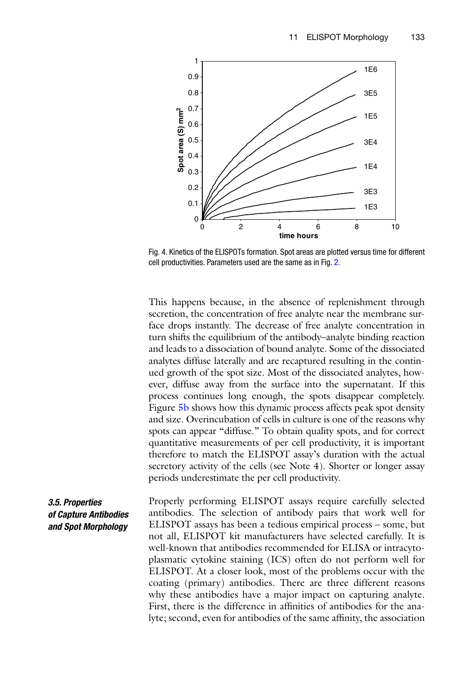<span id="page-8-0"></span>

Fig. 4. Kinetics of the ELISPOTs formation. Spot areas are plotted versus time for different cell productivities. Parameters used are the same as in Fig. [2.](#page-6-0)

This happens because, in the absence of replenishment through secretion, the concentration of free analyte near the membrane surface drops instantly. The decrease of free analyte concentration in turn shifts the equilibrium of the antibody–analyte binding reaction and leads to a dissociation of bound analyte. Some of the dissociated analytes diffuse laterally and are recaptured resulting in the continued growth of the spot size. Most of the dissociated analytes, however, diffuse away from the surface into the supernatant. If this process continues long enough, the spots disappear completely. Figure [5b](#page-9-0) shows how this dynamic process affects peak spot density and size. Overincubation of cells in culture is one of the reasons why spots can appear "diffuse." To obtain quality spots, and for correct quantitative measurements of per cell productivity, it is important therefore to match the ELISPOT assay's duration with the actual secretory activity of the cells (see Note 4). Shorter or longer assay periods underestimate the per cell productivity.

Properly performing ELISPOT assays require carefully selected antibodies. The selection of antibody pairs that work well for ELISPOT assays has been a tedious empirical process – some, but not all, ELISPOT kit manufacturers have selected carefully. It is well-known that antibodies recommended for ELISA or intracytoplasmatic cytokine staining (ICS) often do not perform well for ELISPOT. At a closer look, most of the problems occur with the coating (primary) antibodies. There are three different reasons why these antibodies have a major impact on capturing analyte. First, there is the difference in affinities of antibodies for the analyte; second, even for antibodies of the same affinity, the association *3.5. Properties of Capture Antibodies and Spot Morphology*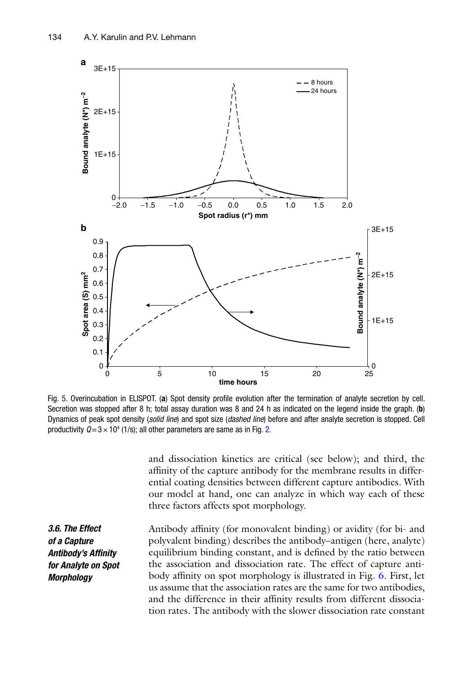<span id="page-9-0"></span>

Fig. 5. Overincubation in ELISPOT. (**a**) Spot density profile evolution after the termination of analyte secretion by cell. Secretion was stopped after 8 h; total assay duration was 8 and 24 h as indicated on the legend inside the graph. (**b**) Dynamics of peak spot density (solid line) and spot size (dashed line) before and after analyte secretion is stopped. Cell productivity  $Q = 3 \times 10^4$  (1/s); all other parameters are same as in Fig. [2.](#page-6-0)

and dissociation kinetics are critical (see below); and third, the affinity of the capture antibody for the membrane results in differential coating densities between different capture antibodies. With our model at hand, one can analyze in which way each of these three factors affects spot morphology.

Antibody affinity (for monovalent binding) or avidity (for bi- and polyvalent binding) describes the antibody–antigen (here, analyte) equilibrium binding constant, and is defined by the ratio between the association and dissociation rate. The effect of capture antibody affinity on spot morphology is illustrated in Fig. [6.](#page-10-0) First, let us assume that the association rates are the same for two antibodies, and the difference in their affinity results from different dissociation rates. The antibody with the slower dissociation rate constant *3.6. The Effect of a Capture Antibody's Affinity for Analyte on Spot Morphology*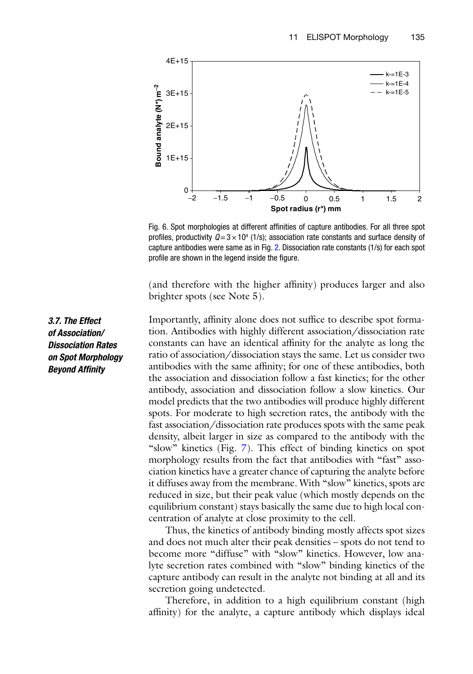<span id="page-10-0"></span>

Fig. 6. Spot morphologies at different affinities of capture antibodies. For all three spot profiles, productivity  $Q = 3 \times 10^4$  (1/s); association rate constants and surface density of capture antibodies were same as in Fig. [2](#page-6-0). Dissociation rate constants (1/s) for each spot profile are shown in the legend inside the figure.

(and therefore with the higher affinity) produces larger and also brighter spots (see Note 5).

Importantly, affinity alone does not suffice to describe spot formation. Antibodies with highly different association/dissociation rate constants can have an identical affinity for the analyte as long the ratio of association/dissociation stays the same. Let us consider two antibodies with the same affinity; for one of these antibodies, both the association and dissociation follow a fast kinetics; for the other antibody, association and dissociation follow a slow kinetics. Our model predicts that the two antibodies will produce highly different spots. For moderate to high secretion rates, the antibody with the fast association/dissociation rate produces spots with the same peak density, albeit larger in size as compared to the antibody with the "slow" kinetics (Fig. [7](#page-11-0)). This effect of binding kinetics on spot morphology results from the fact that antibodies with "fast" association kinetics have a greater chance of capturing the analyte before it diffuses away from the membrane. With "slow" kinetics, spots are reduced in size, but their peak value (which mostly depends on the equilibrium constant) stays basically the same due to high local concentration of analyte at close proximity to the cell.

Thus, the kinetics of antibody binding mostly affects spot sizes and does not much alter their peak densities – spots do not tend to become more "diffuse" with "slow" kinetics. However, low analyte secretion rates combined with "slow" binding kinetics of the capture antibody can result in the analyte not binding at all and its secretion going undetected.

Therefore, in addition to a high equilibrium constant (high affinity) for the analyte, a capture antibody which displays ideal

*3.7. The Effect of Association/ Dissociation Rates on Spot Morphology Beyond Affinity*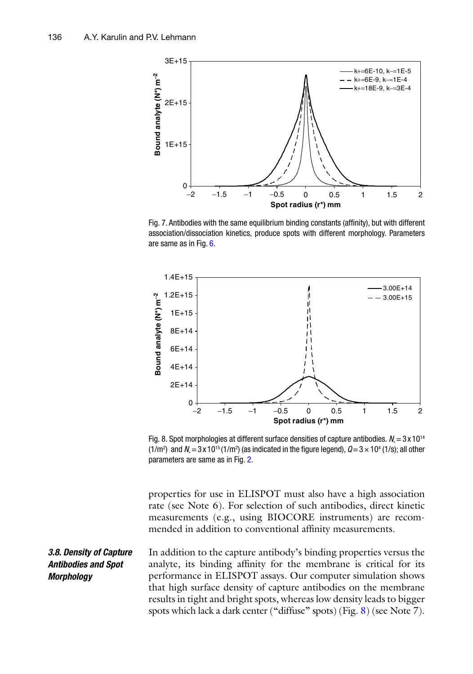<span id="page-11-0"></span>

Fig. 7. Antibodies with the same equilibrium binding constants (affinity), but with different association/dissociation kinetics, produce spots with different morphology. Parameters are same as in Fig. [6.](#page-10-0)



Fig. 8. Spot morphologies at different surface densities of capture antibodies.  $N_{\star} = 3 \times 10^{14}$ (1/m<sup>2</sup>) and  $N = 3 \times 10^{15} (1/m^2)$  (as indicated in the figure legend),  $Q = 3 \times 10^4$  (1/s); all other parameters are same as in Fig. [2.](#page-6-0)

properties for use in ELISPOT must also have a high association rate (see Note 6). For selection of such antibodies, direct kinetic measurements (e.g., using BIOCORE instruments) are recommended in addition to conventional affinity measurements.

In addition to the capture antibody's binding properties versus the analyte, its binding affinity for the membrane is critical for its performance in ELISPOT assays. Our computer simulation shows that high surface density of capture antibodies on the membrane results in tight and bright spots, whereas low density leads to bigger spots which lack a dark center ("diffuse" spots) (Fig. 8) (see Note 7).

*3.8. Density of Capture Antibodies and Spot Morphology*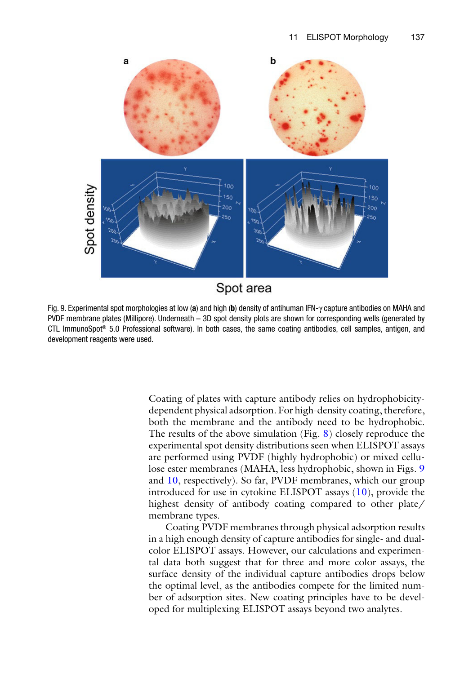

Fig. 9. Experimental spot morphologies at low (a) and high (b) density of antihuman IFN-y capture antibodies on MAHA and PVDF membrane plates (Millipore). Underneath – 3D spot density plots are shown for corresponding wells (generated by CTL ImmunoSpot® 5.0 Professional software). In both cases, the same coating antibodies, cell samples, antigen, and development reagents were used.

Coating of plates with capture antibody relies on hydrophobicitydependent physical adsorption. For high-density coating, therefore, both the membrane and the antibody need to be hydrophobic. The results of the above simulation (Fig. [8\)](#page-11-0) closely reproduce the experimental spot density distributions seen when ELISPOT assays are performed using PVDF (highly hydrophobic) or mixed cellulose ester membranes (MAHA, less hydrophobic, shown in Figs. 9 and [10](#page-13-0), respectively). So far, PVDF membranes, which our group introduced for use in cytokine ELISPOT assays [\(10\)](#page-18-0), provide the highest density of antibody coating compared to other plate/ membrane types.

Coating PVDF membranes through physical adsorption results in a high enough density of capture antibodies for single- and dualcolor ELISPOT assays. However, our calculations and experimental data both suggest that for three and more color assays, the surface density of the individual capture antibodies drops below the optimal level, as the antibodies compete for the limited number of adsorption sites. New coating principles have to be developed for multiplexing ELISPOT assays beyond two analytes.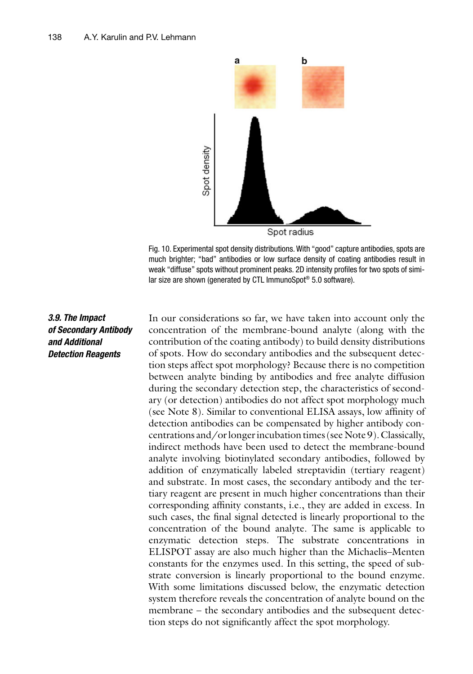<span id="page-13-0"></span>

Fig. 10. Experimental spot density distributions. With "good" capture antibodies, spots are much brighter; "bad" antibodies or low surface density of coating antibodies result in weak "diffuse" spots without prominent peaks. 2D intensity profiles for two spots of similar size are shown (generated by CTL ImmunoSpot® 5.0 software).

In our considerations so far, we have taken into account only the concentration of the membrane-bound analyte (along with the contribution of the coating antibody) to build density distributions of spots. How do secondary antibodies and the subsequent detection steps affect spot morphology? Because there is no competition between analyte binding by antibodies and free analyte diffusion during the secondary detection step, the characteristics of secondary (or detection) antibodies do not affect spot morphology much (see Note 8). Similar to conventional ELISA assays, low affinity of detection antibodies can be compensated by higher antibody concentrations and/or longer incubation times (see Note 9). Classically, indirect methods have been used to detect the membrane-bound analyte involving biotinylated secondary antibodies, followed by addition of enzymatically labeled streptavidin (tertiary reagent) and substrate. In most cases, the secondary antibody and the tertiary reagent are present in much higher concentrations than their corresponding affinity constants, i.e., they are added in excess. In such cases, the final signal detected is linearly proportional to the concentration of the bound analyte. The same is applicable to enzymatic detection steps. The substrate concentrations in ELISPOT assay are also much higher than the Michaelis–Menten constants for the enzymes used. In this setting, the speed of substrate conversion is linearly proportional to the bound enzyme. With some limitations discussed below, the enzymatic detection system therefore reveals the concentration of analyte bound on the membrane – the secondary antibodies and the subsequent detection steps do not significantly affect the spot morphology.

# *3.9. The Impact of Secondary Antibody and Additional Detection Reagents*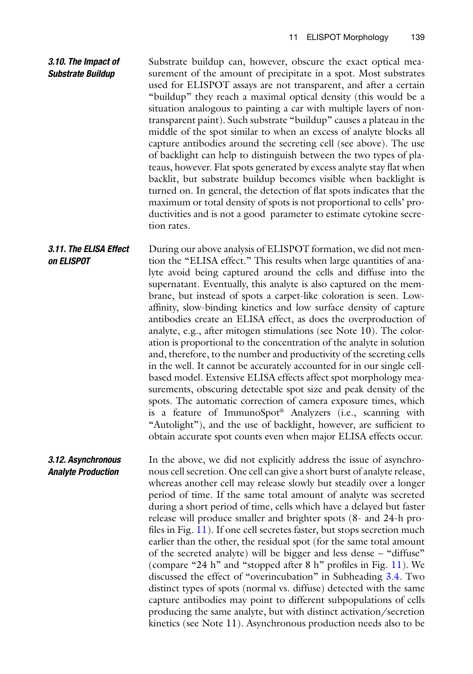#### Substrate buildup can, however, obscure the exact optical measurement of the amount of precipitate in a spot. Most substrates used for ELISPOT assays are not transparent, and after a certain "buildup" they reach a maximal optical density (this would be a situation analogous to painting a car with multiple layers of nontransparent paint). Such substrate "buildup" causes a plateau in the middle of the spot similar to when an excess of analyte blocks all capture antibodies around the secreting cell (see above). The use of backlight can help to distinguish between the two types of plateaus, however. Flat spots generated by excess analyte stay flat when backlit, but substrate buildup becomes visible when backlight is turned on. In general, the detection of flat spots indicates that the maximum or total density of spots is not proportional to cells' productivities and is not a good parameter to estimate cytokine secretion rates. *3.10. The Impact of Substrate Buildup*

During our above analysis of ELISPOT formation, we did not mention the "ELISA effect." This results when large quantities of analyte avoid being captured around the cells and diffuse into the supernatant. Eventually, this analyte is also captured on the membrane, but instead of spots a carpet-like coloration is seen. Lowaffinity, slow-binding kinetics and low surface density of capture antibodies create an ELISA effect, as does the overproduction of analyte, e.g., after mitogen stimulations (see Note 10). The coloration is proportional to the concentration of the analyte in solution and, therefore, to the number and productivity of the secreting cells in the well. It cannot be accurately accounted for in our single cellbased model. Extensive ELISA effects affect spot morphology measurements, obscuring detectable spot size and peak density of the spots. The automatic correction of camera exposure times, which is a feature of ImmunoSpot® Analyzers (i.e., scanning with "Autolight"), and the use of backlight, however, are sufficient to obtain accurate spot counts even when major ELISA effects occur. *3.11. The ELISA Effect on ELISPOT*

In the above, we did not explicitly address the issue of asynchronous cell secretion. One cell can give a short burst of analyte release, whereas another cell may release slowly but steadily over a longer period of time. If the same total amount of analyte was secreted during a short period of time, cells which have a delayed but faster release will produce smaller and brighter spots (8- and 24-h profiles in Fig. [11](#page-15-0)). If one cell secretes faster, but stops secretion much earlier than the other, the residual spot (for the same total amount of the secreted analyte) will be bigger and less dense – "diffuse" (compare "24 h" and "stopped after 8 h" profiles in Fig. [11](#page-15-0)). We discussed the effect of "overincubation" in Subheading [3.4.](#page-7-0) Two distinct types of spots (normal vs. diffuse) detected with the same capture antibodies may point to different subpopulations of cells producing the same analyte, but with distinct activation/secretion kinetics (see Note 11). Asynchronous production needs also to be *3.12. Asynchronous Analyte Production*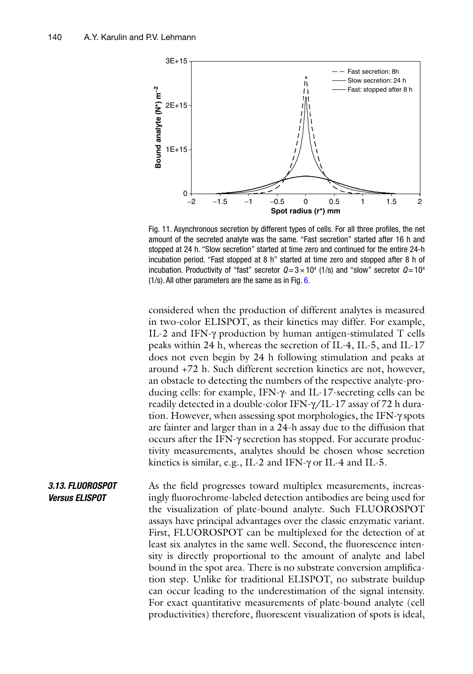<span id="page-15-0"></span>

Fig. 11. Asynchronous secretion by different types of cells. For all three profiles, the net amount of the secreted analyte was the same. "Fast secretion" started after 16 h and stopped at 24 h. "Slow secretion" started at time zero and continued for the entire 24-h incubation period. "Fast stopped at 8 h" started at time zero and stopped after 8 h of incubation. Productivity of "fast" secretor  $Q=3\times10^4$  (1/s) and "slow" secretor  $Q=10^4$ (1/s). All other parameters are the same as in Fig. [6.](#page-10-0)

considered when the production of different analytes is measured in two-color ELISPOT, as their kinetics may differ. For example, IL-2 and IFN- $\gamma$  production by human antigen-stimulated T cells peaks within 24 h, whereas the secretion of IL-4, IL-5, and IL-17 does not even begin by 24 h following stimulation and peaks at around +72 h. Such different secretion kinetics are not, however, an obstacle to detecting the numbers of the respective analyte-producing cells: for example, IFN- $\gamma$ - and IL-17-secreting cells can be readily detected in a double-color IFN- $\gamma$ /IL-17 assay of 72 h duration. However, when assessing spot morphologies, the IFN- $\gamma$  spots are fainter and larger than in a 24-h assay due to the diffusion that occurs after the IFN- $\gamma$  secretion has stopped. For accurate productivity measurements, analytes should be chosen whose secretion kinetics is similar, e.g., IL-2 and IFN- $\gamma$  or IL-4 and IL-5.

As the field progresses toward multiplex measurements, increasingly fluorochrome-labeled detection antibodies are being used for the visualization of plate-bound analyte. Such FLUOROSPOT assays have principal advantages over the classic enzymatic variant. First, FLUOROSPOT can be multiplexed for the detection of at least six analytes in the same well. Second, the fluorescence intensity is directly proportional to the amount of analyte and label bound in the spot area. There is no substrate conversion amplification step. Unlike for traditional ELISPOT, no substrate buildup can occur leading to the underestimation of the signal intensity. For exact quantitative measurements of plate-bound analyte (cell productivities) therefore, fluorescent visualization of spots is ideal, *3.13. FLUOROSPOT Versus ELISPOT*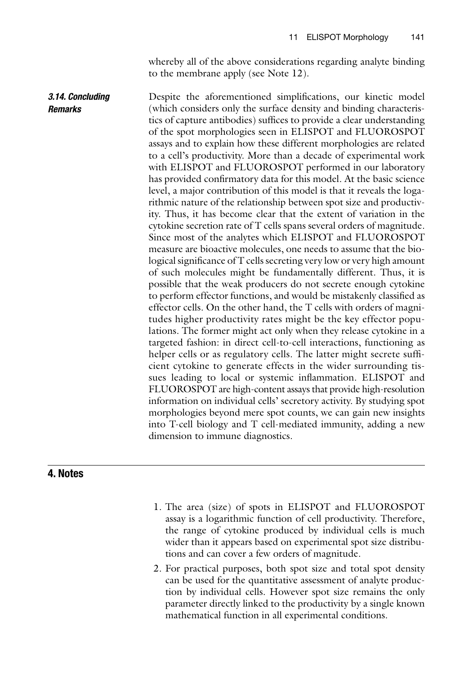whereby all of the above considerations regarding analyte binding to the membrane apply (see Note 12).

Despite the aforementioned simplifications, our kinetic model (which considers only the surface density and binding characteristics of capture antibodies) suffices to provide a clear understanding of the spot morphologies seen in ELISPOT and FLUOROSPOT assays and to explain how these different morphologies are related to a cell's productivity. More than a decade of experimental work with ELISPOT and FLUOROSPOT performed in our laboratory has provided confirmatory data for this model. At the basic science level, a major contribution of this model is that it reveals the logarithmic nature of the relationship between spot size and productivity. Thus, it has become clear that the extent of variation in the cytokine secretion rate of T cells spans several orders of magnitude. Since most of the analytes which ELISPOT and FLUOROSPOT measure are bioactive molecules, one needs to assume that the biological significance of T cells secreting very low or very high amount of such molecules might be fundamentally different. Thus, it is possible that the weak producers do not secrete enough cytokine to perform effector functions, and would be mistakenly classified as effector cells. On the other hand, the T cells with orders of magnitudes higher productivity rates might be the key effector populations. The former might act only when they release cytokine in a targeted fashion: in direct cell-to-cell interactions, functioning as helper cells or as regulatory cells. The latter might secrete sufficient cytokine to generate effects in the wider surrounding tissues leading to local or systemic inflammation. ELISPOT and FLUOROSPOT are high-content assays that provide high-resolution information on individual cells' secretory activity. By studying spot morphologies beyond mere spot counts, we can gain new insights into T-cell biology and T cell-mediated immunity, adding a new dimension to immune diagnostics. *3.14. Concluding Remarks*

# **4. Notes**

- 1. The area (size) of spots in ELISPOT and FLUOROSPOT assay is a logarithmic function of cell productivity. Therefore, the range of cytokine produced by individual cells is much wider than it appears based on experimental spot size distributions and can cover a few orders of magnitude.
- 2. For practical purposes, both spot size and total spot density can be used for the quantitative assessment of analyte production by individual cells. However spot size remains the only parameter directly linked to the productivity by a single known mathematical function in all experimental conditions.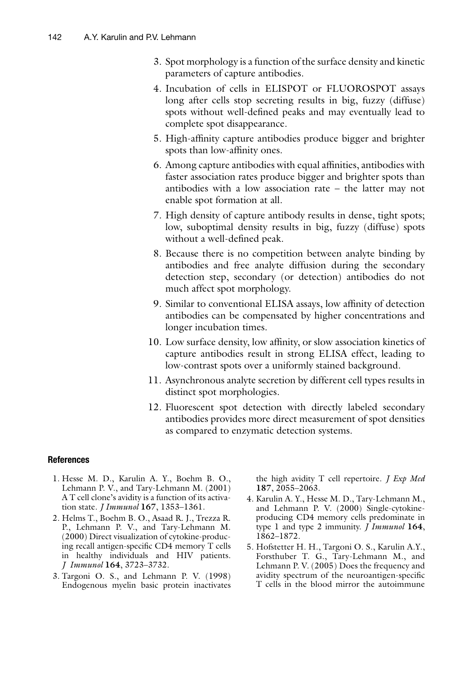- <span id="page-17-0"></span> 3. Spot morphology is a function of the surface density and kinetic parameters of capture antibodies.
- 4. Incubation of cells in ELISPOT or FLUOROSPOT assays long after cells stop secreting results in big, fuzzy (diffuse) spots without well-defined peaks and may eventually lead to complete spot disappearance.
- 5. High-affinity capture antibodies produce bigger and brighter spots than low-affinity ones.
- 6. Among capture antibodies with equal affinities, antibodies with faster association rates produce bigger and brighter spots than antibodies with a low association rate – the latter may not enable spot formation at all.
- 7. High density of capture antibody results in dense, tight spots; low, suboptimal density results in big, fuzzy (diffuse) spots without a well-defined peak.
- 8. Because there is no competition between analyte binding by antibodies and free analyte diffusion during the secondary detection step, secondary (or detection) antibodies do not much affect spot morphology.
- 9. Similar to conventional ELISA assays, low affinity of detection antibodies can be compensated by higher concentrations and longer incubation times.
- 10. Low surface density, low affinity, or slow association kinetics of capture antibodies result in strong ELISA effect, leading to low-contrast spots over a uniformly stained background.
- 11. Asynchronous analyte secretion by different cell types results in distinct spot morphologies.
- 12. Fluorescent spot detection with directly labeled secondary antibodies provides more direct measurement of spot densities as compared to enzymatic detection systems.

# **References**

- 1. Hesse M. D., Karulin A. Y., Boehm B. O., Lehmann P. V., and Tary-Lehmann M. (2001) A T cell clone's avidity is a function of its activation state. *J Immunol* **167**, 1353–1361.
- 2. Helms T., Boehm B. O., Asaad R. J., Trezza R. P., Lehmann P. V., and Tary-Lehmann M. (2000) Direct visualization of cytokine-producing recall antigen-specific CD4 memory T cells in healthy individuals and HIV patients. *J Immunol* **164**, 3723–3732.
- 3. Targoni O. S., and Lehmann P. V. (1998) Endogenous myelin basic protein inactivates

the high avidity T cell repertoire. *J Exp Med* **187**, 2055–2063.

- 4. Karulin A. Y., Hesse M. D., Tary-Lehmann M., and Lehmann P. V. (2000) Single-cytokineproducing CD4 memory cells predominate in type 1 and type 2 immunity. *J Immunol* **164**, 1862–1872.
- 5. Hofstetter H. H., Targoni O. S., Karulin A.Y., Forsthuber T. G., Tary-Lehmann M., and Lehmann P. V. (2005) Does the frequency and avidity spectrum of the neuroantigen-specific T cells in the blood mirror the autoimmune